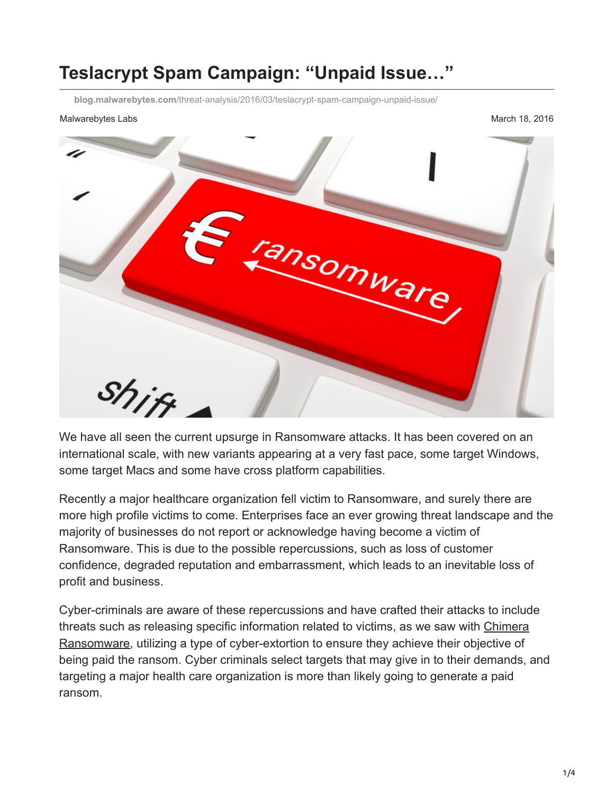## **Teslacrypt Spam Campaign: "Unpaid Issue…"**

**blog.malwarebytes.com**[/threat-analysis/2016/03/teslacrypt-spam-campaign-unpaid-issue/](https://blog.malwarebytes.com/threat-analysis/2016/03/teslacrypt-spam-campaign-unpaid-issue/)

## Malwarebytes Labs **Mathematics** Control of the Mathematics of the Mathematics of the March 18, 2016



We have all seen the current upsurge in Ransomware attacks. It has been covered on an international scale, with new variants appearing at a very fast pace, some target Windows, some target Macs and some have cross platform capabilities.

Recently a major healthcare organization fell victim to Ransomware, and surely there are more high profile victims to come. Enterprises face an ever growing threat landscape and the majority of businesses do not report or acknowledge having become a victim of Ransomware. This is due to the possible repercussions, such as loss of customer confidence, degraded reputation and embarrassment, which leads to an inevitable loss of profit and business.

Cyber-criminals are aware of these repercussions and have crafted their attacks to include [threats such as releasing specific information related to victims, as we saw with Chimera](https://blog.malwarebytes.org/intelligence/2015/12/inside-chimera-ransomware-the-first-doxingware-in-wild) Ransomware, utilizing a type of cyber-extortion to ensure they achieve their objective of being paid the ransom. Cyber criminals select targets that may give in to their demands, and targeting a major health care organization is more than likely going to generate a paid ransom.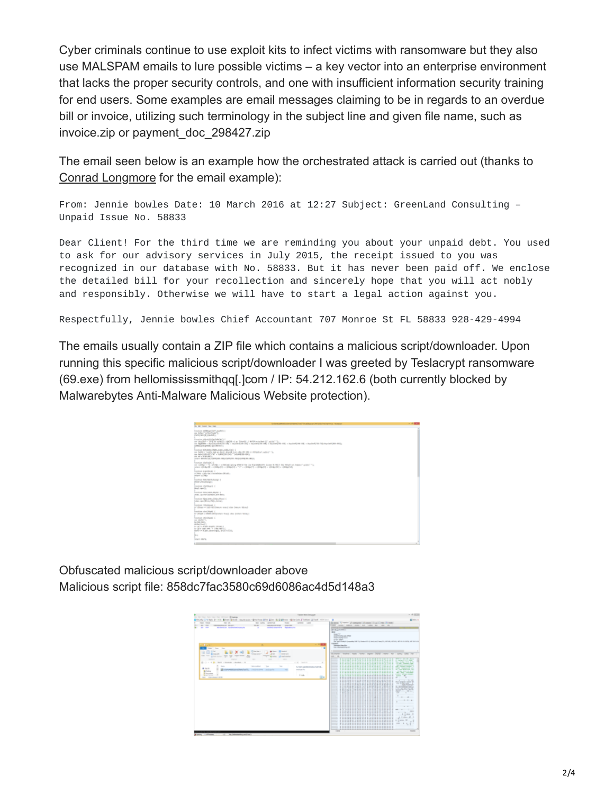Cyber criminals continue to use exploit kits to infect victims with ransomware but they also use MALSPAM emails to lure possible victims – a key vector into an enterprise environment that lacks the proper security controls, and one with insufficient information security training for end users. Some examples are email messages claiming to be in regards to an overdue bill or invoice, utilizing such terminology in the subject line and given file name, such as invoice.zip or payment\_doc\_298427.zip

The email seen below is an example how the orchestrated attack is carried out (thanks to [Conrad Longmore](http://blog.dynamoo.com/) for the email example):

From: Jennie bowles Date: 10 March 2016 at 12:27 Subject: GreenLand Consulting – Unpaid Issue No. 58833

Dear Client! For the third time we are reminding you about your unpaid debt. You used to ask for our advisory services in July 2015, the receipt issued to you was recognized in our database with No. 58833. But it has never been paid off. We enclose the detailed bill for your recollection and sincerely hope that you will act nobly and responsibly. Otherwise we will have to start a legal action against you.

Respectfully, Jennie bowles Chief Accountant 707 Monroe St FL 58833 928-429-4994

The emails usually contain a ZIP file which contains a malicious script/downloader. Upon running this specific malicious script/downloader I was greeted by Teslacrypt ransomware (69.exe) from hellomississmithqq[.]com / IP: 54.212.162.6 (both currently blocked by Malwarebytes Anti-Malware Malicious Website protection).

| <b>STATE OF BUILDING</b>                                                                                                                                                                                                                                                                                        | $-100$ |
|-----------------------------------------------------------------------------------------------------------------------------------------------------------------------------------------------------------------------------------------------------------------------------------------------------------------|--------|
| the first formed them then                                                                                                                                                                                                                                                                                      |        |
| Forestine sublimant later involves (<br>and Article Confidential Co.<br><b>CARD WITH SANDY</b>                                                                                                                                                                                                                  |        |
| Research and the mail resident dealer in a<br>on dealers - Will be specific detail - p. Small, J. MIR to below 2" with "I<br>on Ballista - Reformation (S) - resolution (S) - resolution (M) - resolution (S) - resolution (M) - resolution (S) - resolution (S) - resolution<br>additional hymder spokesman is |        |
| RUSSIAN MALEREN (PAPEL LEAR, LINEL LINE)  <br>are later a lookin are at least deposition who are seen a statistical point (1).<br>ter benchmann of the a habitable and " possession and a<br>and the a biggest dark on<br>SINT BRANDA ARRESTS FROM BRANDER BLUE TO                                              |        |
| <b>Kanston (Gallegia) (</b><br>on children to be being a substitute acting about the tila Mahmatolity books in HES for historic actional acting the Co.<br>when (Hillerill, a children) a company of a "A" a company of a company of a company of                                                               |        |
| Received Highlithadd C.<br>11. 2003). In taking the control business (\$11.00).<br>water of the                                                                                                                                                                                                                 |        |
| Transfitzed (Billis/Martin Austral) 1<br><b>PER CONTRACTOR</b>                                                                                                                                                                                                                                                  |        |
| American Chatchered C.<br><b>Real carried</b>                                                                                                                                                                                                                                                                   |        |
| President Miller Ave., Michigan<br>UNION, LIGHT MANAGEMENT LIGHT BRIDE                                                                                                                                                                                                                                          |        |
| Foreign Hire Inter Distributed C.<br>have care \$100,000 and a                                                                                                                                                                                                                                                  |        |
| Recording FREDERICK C<br>in their wast-stronger woul rise beam him,"                                                                                                                                                                                                                                            |        |
| <b>Excellent school Sheets of</b><br>or must a start alloyates tract also paten beach                                                                                                                                                                                                                           |        |
| Rendeze calculations of<br>top station?)<br>Service Arts<br>alternative Corp.<br>or at a fewer least to three in<br>ar and can see in cide with a<br>state in Kash Ammiragis, pright sting,                                                                                                                     |        |
| <b>Brand</b><br>Temporal Months                                                                                                                                                                                                                                                                                 |        |
|                                                                                                                                                                                                                                                                                                                 | --     |

Obfuscated malicious script/downloader above Malicious script file: 858dc7fac3580c69d6086ac4d5d148a3

|                                                                                                                                                                                                                                                                                                                                                                                                                                                                                                                                                                                                                                                                                                                                                                                                                                                                                                                                                                                                                                                                                                                                                                                                                                                                                                                                 | <b><i><u>FARE MATTELLINE</u></i></b>                                                  |                                                                                                                                                                                                                                                                                                                                                                                                                                                                                                                                                                                                                                                                                                                                                                                                                                                                                                                                                                                                                                                                                                                                                   | $-422$                                                                                                                                                                                                                                                                                                                                                                                                                                                                                                                                                                                                                      |
|---------------------------------------------------------------------------------------------------------------------------------------------------------------------------------------------------------------------------------------------------------------------------------------------------------------------------------------------------------------------------------------------------------------------------------------------------------------------------------------------------------------------------------------------------------------------------------------------------------------------------------------------------------------------------------------------------------------------------------------------------------------------------------------------------------------------------------------------------------------------------------------------------------------------------------------------------------------------------------------------------------------------------------------------------------------------------------------------------------------------------------------------------------------------------------------------------------------------------------------------------------------------------------------------------------------------------------|---------------------------------------------------------------------------------------|---------------------------------------------------------------------------------------------------------------------------------------------------------------------------------------------------------------------------------------------------------------------------------------------------------------------------------------------------------------------------------------------------------------------------------------------------------------------------------------------------------------------------------------------------------------------------------------------------------------------------------------------------------------------------------------------------------------------------------------------------------------------------------------------------------------------------------------------------------------------------------------------------------------------------------------------------------------------------------------------------------------------------------------------------------------------------------------------------------------------------------------------------|-----------------------------------------------------------------------------------------------------------------------------------------------------------------------------------------------------------------------------------------------------------------------------------------------------------------------------------------------------------------------------------------------------------------------------------------------------------------------------------------------------------------------------------------------------------------------------------------------------------------------------|
| Gradual Citchen Dr. 4 in Gines Gines, anywaren Ginchen Afric Eller Holl Gines riginates (Citers Giller), etc.)                                                                                                                                                                                                                                                                                                                                                                                                                                                                                                                                                                                                                                                                                                                                                                                                                                                                                                                                                                                                                                                                                                                                                                                                                  |                                                                                       |                                                                                                                                                                                                                                                                                                                                                                                                                                                                                                                                                                                                                                                                                                                                                                                                                                                                                                                                                                                                                                                                                                                                                   | $k \rightarrow 1$                                                                                                                                                                                                                                                                                                                                                                                                                                                                                                                                                                                                           |
| to be the fact that the first of the Minister<br><b>COLOR CONTRACT</b><br>$\frac{1}{2} \left( \frac{1}{2} \right) \left( \frac{1}{2} \right) \left( \frac{1}{2} \right)$<br>as one control<br><b>SCIENT</b><br><b>CRAIN AVAIL</b><br>man answers and<br><b>COLOR</b><br><b><i><u>ALIMENT COMPANY</u></i></b><br><b>Manager and Constitution project</b><br>÷<br><b>Report Follows</b><br><b>Carry Corp.</b><br>٠<br>$\sim$<br>$\overline{\phantom{a}}$<br>$\sim$<br><b>STAR</b><br>At law 1 Winners<br>The party class of<br>$\sim$<br><b>Life Adventure</b><br><b>Concerned</b><br>Cheese.<br><b>CONTRACTOR</b><br>state come to see money<br><b>STATE</b><br>on or gamme 10 to<br>T. Brader, Maudischer<br>-<br>$\frac{1}{2} \left( \frac{1}{2} \right) \left( \frac{1}{2} \right) \left( \frac{1}{2} \right)$<br>$\frac{1}{2} \left( \frac{1}{2} \right) \left( \frac{1}{2} \right) \left( \frac{1}{2} \right) \left( \frac{1}{2} \right)$<br>$\frac{1}{2} \left( \frac{1}{2} \right) \left( \frac{1}{2} \right) \left( \frac{1}{2} \right)$<br><b>COMPANY</b><br>St. Link of Mr. Salth a Harman a deather, a H.<br>W. San<br><b>Scientifical</b><br>$\sim$<br>$\sim$<br>$\mathbf{A}$<br>$\sim$<br><b>EXEMPTED ATTACHETS</b> , PROVIDENT SUBJECT<br><b>Britain</b><br><b>B</b> changes on<br>----<br>they were streaming the | a M. Smith<br>NISSE ARRESTS & TATIL<br><b>Section Ave.</b><br><b>County</b><br>$= -7$ | Green, Viewer, J.A.Moore C.J. (1989) Click Chrom-<br>the most country country and country are come on<br><b>Contractor</b><br><b>SCOTT</b><br><b>With</b><br>Telephone (1971)<br><b>A CONTROLLING COLLECTION</b><br><b>SHARTHERN RYAN</b><br><b>STATISTICS</b><br>the Apple Helpin Committee Will fire Committee of a series and law of the Africa, addition, all the Activities and Tart Activities<br><b><i><u>STERNESS</u></i></b><br>Constitution Clean State<br><b><i>NA HIMMEDIAL IR</i></b><br>$-$<br>money today was tone apre 70% new to<br><b>SOLUTE</b><br>-<br>,,,,,,,,,,,,,,,,,,,,,,,<br>----------------------<br>-----------------------<br><b>Service</b><br><b>Service</b><br>----------------------<br>------------------------<br><b>Service</b><br><br>-<br><br>----------------------<br><b>Service</b><br><br><b>Service</b><br>------------------------<br>-<br><b>Service</b><br>-<br>---------------------------<br>$\overline{\phantom{a}}$<br><b>Service</b><br>-------------------------<br><b>Service</b><br>-<br>--------------------------<br><br>--<br>---------<br>-------<br>.<br>-----<br><br>----<br>-<br>--- | <b>Telephone</b><br>When I be the faces<br>as company's first charge.<br>They are they return as the<br>the first company from<br><b>SERVICE CONTROLLER COMPANY</b><br>and changes toward. A<br><b>START COMMERCIAL AND</b><br>an compensation for<br><b>COMPANY PRODUCTS IN CASE</b><br>the state company.<br><b>STATE CONTRACTOR</b><br>$\frac{1}{2} \left( \frac{1}{2} \right) \left( \frac{1}{2} \right) \left( \frac{1}{2} \right)$<br>$-1$<br>$\sim$<br>The South State<br>×<br>Mary Company, addition by<br>THE THE WELL<br><b>CASTLINE</b><br>an against survival to<br><b>CONTRACTOR</b><br><b>CONTRACTOR</b><br>- |
|                                                                                                                                                                                                                                                                                                                                                                                                                                                                                                                                                                                                                                                                                                                                                                                                                                                                                                                                                                                                                                                                                                                                                                                                                                                                                                                                 |                                                                                       | ------<br>-----<br>-----------------------------<br>-<br>--------------------------<br>-<br>------------------------<br>-<br>_<br><b>Service</b><br><b>Service</b><br><b>Service</b><br>_<br>$-$                                                                                                                                                                                                                                                                                                                                                                                                                                                                                                                                                                                                                                                                                                                                                                                                                                                                                                                                                  | . .<br>$\sim$<br><b>K.A. 4</b><br>____<br>______<br>_____<br>and the control of the con-<br>-----<br>$-11 - 11 - 1$<br>a manager and<br>------<br>$-1$<br>$\frac{1}{2} \left( \frac{1}{2} \right) \left( \frac{1}{2} \right) \left( \frac{1}{2} \right)$                                                                                                                                                                                                                                                                                                                                                                    |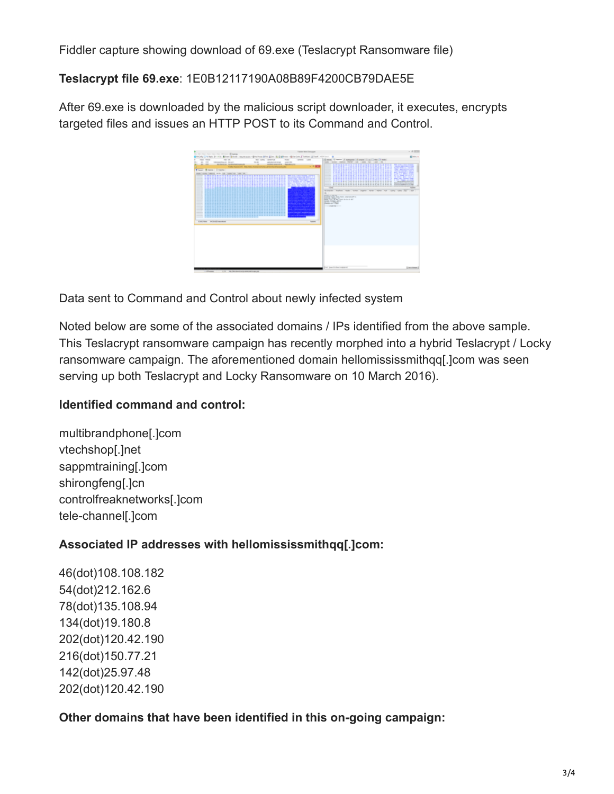Fiddler capture showing download of 69.exe (Teslacrypt Ransomware file)

**Teslacrypt file 69.exe**: 1E0B12117190A08B89F4200CB79DAE5E

After 69.exe is downloaded by the malicious script downloader, it executes, encrypts targeted files and issues an HTTP POST to its Command and Control.

|                                                                                                                                                                                                                                                                                                                                                                                                                                                                   |                                                                                                                                                                                                                                                                               | <b><i><u>NAME WAS CONSUMED</u></i></b>                                                                                                                                                       |                                                                                                                                                                                                                                                                                                                                            | $-422$                                                                                                                                                                                                                                                                                                                                                                                                                                                                                                                                                                                              |
|-------------------------------------------------------------------------------------------------------------------------------------------------------------------------------------------------------------------------------------------------------------------------------------------------------------------------------------------------------------------------------------------------------------------------------------------------------------------|-------------------------------------------------------------------------------------------------------------------------------------------------------------------------------------------------------------------------------------------------------------------------------|----------------------------------------------------------------------------------------------------------------------------------------------------------------------------------------------|--------------------------------------------------------------------------------------------------------------------------------------------------------------------------------------------------------------------------------------------------------------------------------------------------------------------------------------------|-----------------------------------------------------------------------------------------------------------------------------------------------------------------------------------------------------------------------------------------------------------------------------------------------------------------------------------------------------------------------------------------------------------------------------------------------------------------------------------------------------------------------------------------------------------------------------------------------------|
| to be the fat the the state. House,<br>Brick China In the More More as every disclosed in Ed More disclosed from State 1994.                                                                                                                                                                                                                                                                                                                                      |                                                                                                                                                                                                                                                                               |                                                                                                                                                                                              |                                                                                                                                                                                                                                                                                                                                            | diam'r.                                                                                                                                                                                                                                                                                                                                                                                                                                                                                                                                                                                             |
| mon work<br>$\frac{1}{2} \left( \frac{1}{2} \right) \left( \frac{1}{2} \right) \left( \frac{1}{2} \right)$<br>$-$<br><b>CONSULTANT AND ARRANGEMENT</b><br><b>ALCOHOL: AUGUST AVENUES</b><br><b>ALC: NO AND </b><br><b>Electric Education Includes</b><br>warehouse beauty with the locations like into<br>------------------------<br>_<br>__<br>---------------<br>----------<br>.<br>-----------------<br>.<br><br><br>_<br>a los sinos - ani insidireza alcoa. | as one control<br>$-$<br>ARUSO SIR FIGH<br>-<br><b>Andrea Angeles A. Agenteurs</b><br><b>TANK SHOW IT THE TALK AND THE</b><br><b>A STORY OF GROOM</b><br>,,,,,,,,,,,,,,,,,,,,,,,,,,,,,,,<br>---------------------------------<br>-------<br>--------------------------------- | <br>$\frac{1}{2} \left( \frac{1}{2} \right) \left( \frac{1}{2} \right) \left( \frac{1}{2} \right) \left( \frac{1}{2} \right)$<br>$-100$<br>--<br>- -<br><b>Committee</b><br><br><b>SHOW:</b> | dinant 4 were planning of some illustrians (book)<br>more more more form an inter an inter on<br><br>-<br>.<br>__<br>.<br>__<br>-<br>through books with them there will be to the the<br>$\sim$<br><b>KINGS Suren renews</b><br><b>LESS AREA</b><br>From Tel. 30 het totel de lieu at de?<br><b>STATISTICS</b><br><b>Charles Ave There</b> | <b>CONTROL</b><br><b>ON MONTHLINE</b><br><b><i><u>Contract Contract Contract Contract Contract Contract Contract Contract Contract Contract Contract Contract Contract Contract Contract Contract Contract Contract Contract Contract Contract Contract Contract Contract Con</u></i></b><br>and the control of the<br>as of the following factory<br>and the former and the following<br>the factory dealer residents<br>and one forms had<br>A control changes and control<br><b>State Controller Controller</b><br>Statement continues and the content of<br><b>STATE</b><br><b>The Contract</b> |
|                                                                                                                                                                                                                                                                                                                                                                                                                                                                   |                                                                                                                                                                                                                                                                               |                                                                                                                                                                                              | and them be changed and                                                                                                                                                                                                                                                                                                                    | <b>Directorses</b>                                                                                                                                                                                                                                                                                                                                                                                                                                                                                                                                                                                  |

Data sent to Command and Control about newly infected system

Noted below are some of the associated domains / IPs identified from the above sample. This Teslacrypt ransomware campaign has recently morphed into a hybrid Teslacrypt / Locky ransomware campaign. The aforementioned domain hellomississmithqq[.]com was seen serving up both Teslacrypt and Locky Ransomware on 10 March 2016).

## **Identified command and control:**

multibrandphone[.]com vtechshop[.]net sappmtraining[.]com shirongfeng[.]cn controlfreaknetworks[.]com tele-channel[.]com

## **Associated IP addresses with hellomississmithqq[.]com:**

46(dot)108.108.182 54(dot)212.162.6 78(dot)135.108.94 134(dot)19.180.8 202(dot)120.42.190 216(dot)150.77.21 142(dot)25.97.48 202(dot)120.42.190

**Other domains that have been identified in this on-going campaign:**